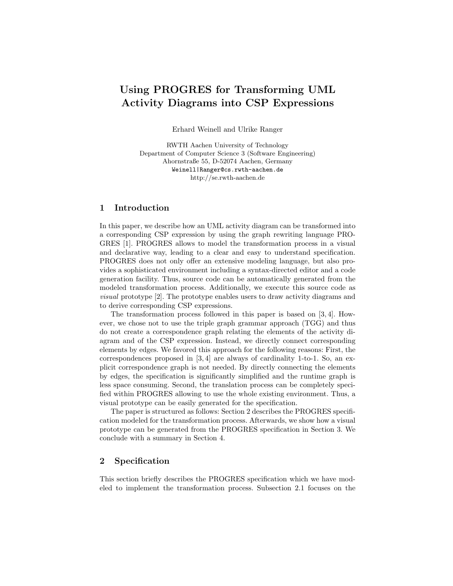# Using PROGRES for Transforming UML Activity Diagrams into CSP Expressions

Erhard Weinell and Ulrike Ranger

RWTH Aachen University of Technology Department of Computer Science 3 (Software Engineering) Ahornstraße 55, D-52074 Aachen, Germany Weinell|Ranger@cs.rwth-aachen.de http://se.rwth-aachen.de

#### 1 Introduction

In this paper, we describe how an UML activity diagram can be transformed into a corresponding CSP expression by using the graph rewriting language PRO-GRES [1]. PROGRES allows to model the transformation process in a visual and declarative way, leading to a clear and easy to understand specification. PROGRES does not only offer an extensive modeling language, but also provides a sophisticated environment including a syntax-directed editor and a code generation facility. Thus, source code can be automatically generated from the modeled transformation process. Additionally, we execute this source code as visual prototype [2]. The prototype enables users to draw activity diagrams and to derive corresponding CSP expressions.

The transformation process followed in this paper is based on [3, 4]. However, we chose not to use the triple graph grammar approach (TGG) and thus do not create a correspondence graph relating the elements of the activity diagram and of the CSP expression. Instead, we directly connect corresponding elements by edges. We favored this approach for the following reasons: First, the correspondences proposed in [3, 4] are always of cardinality 1-to-1. So, an explicit correspondence graph is not needed. By directly connecting the elements by edges, the specification is significantly simplified and the runtime graph is less space consuming. Second, the translation process can be completely specified within PROGRES allowing to use the whole existing environment. Thus, a visual prototype can be easily generated for the specification.

The paper is structured as follows: Section 2 describes the PROGRES specification modeled for the transformation process. Afterwards, we show how a visual prototype can be generated from the PROGRES specification in Section 3. We conclude with a summary in Section 4.

#### 2 Specification

This section briefly describes the PROGRES specification which we have modeled to implement the transformation process. Subsection 2.1 focuses on the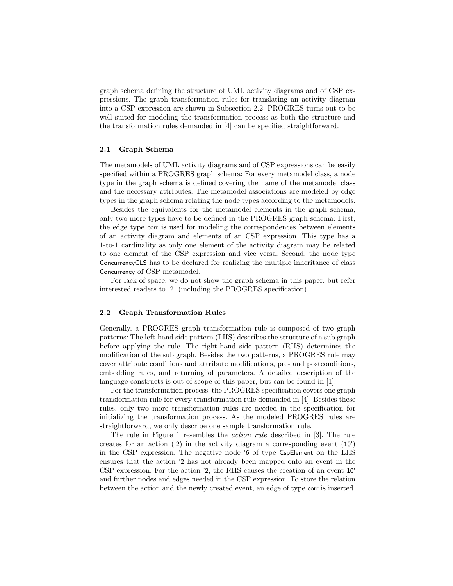graph schema defining the structure of UML activity diagrams and of CSP expressions. The graph transformation rules for translating an activity diagram into a CSP expression are shown in Subsection 2.2. PROGRES turns out to be well suited for modeling the transformation process as both the structure and the transformation rules demanded in [4] can be specified straightforward.

#### 2.1 Graph Schema

The metamodels of UML activity diagrams and of CSP expressions can be easily specified within a PROGRES graph schema: For every metamodel class, a node type in the graph schema is defined covering the name of the metamodel class and the necessary attributes. The metamodel associations are modeled by edge types in the graph schema relating the node types according to the metamodels.

Besides the equivalents for the metamodel elements in the graph schema, only two more types have to be defined in the PROGRES graph schema: First, the edge type corr is used for modeling the correspondences between elements of an activity diagram and elements of an CSP expression. This type has a 1-to-1 cardinality as only one element of the activity diagram may be related to one element of the CSP expression and vice versa. Second, the node type ConcurrencyCLS has to be declared for realizing the multiple inheritance of class Concurrency of CSP metamodel.

For lack of space, we do not show the graph schema in this paper, but refer interested readers to [2] (including the PROGRES specification).

#### 2.2 Graph Transformation Rules

Generally, a PROGRES graph transformation rule is composed of two graph patterns: The left-hand side pattern (LHS) describes the structure of a sub graph before applying the rule. The right-hand side pattern (RHS) determines the modification of the sub graph. Besides the two patterns, a PROGRES rule may cover attribute conditions and attribute modifications, pre- and postconditions, embedding rules, and returning of parameters. A detailed description of the language constructs is out of scope of this paper, but can be found in [1].

For the transformation process, the PROGRES specification covers one graph transformation rule for every transformation rule demanded in [4]. Besides these rules, only two more transformation rules are needed in the specification for initializing the transformation process. As the modeled PROGRES rules are straightforward, we only describe one sample transformation rule.

The rule in Figure 1 resembles the action rule described in [3]. The rule creates for an action ('2) in the activity diagram a corresponding event (10') in the CSP expression. The negative node '6 of type CspElement on the LHS ensures that the action '2 has not already been mapped onto an event in the CSP expression. For the action '2, the RHS causes the creation of an event 10' and further nodes and edges needed in the CSP expression. To store the relation between the action and the newly created event, an edge of type corr is inserted.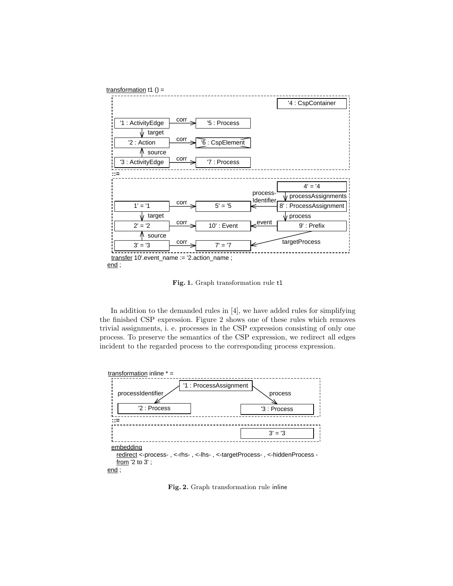

Fig. 1. Graph transformation rule t1

In addition to the demanded rules in [4], we have added rules for simplifying the finished CSP expression. Figure 2 shows one of these rules which removes trivial assignments, i. e. processes in the CSP expression consisting of only one process. To preserve the semantics of the CSP expression, we redirect all edges incident to the regarded process to the corresponding process expression.



Fig. 2. Graph transformation rule inline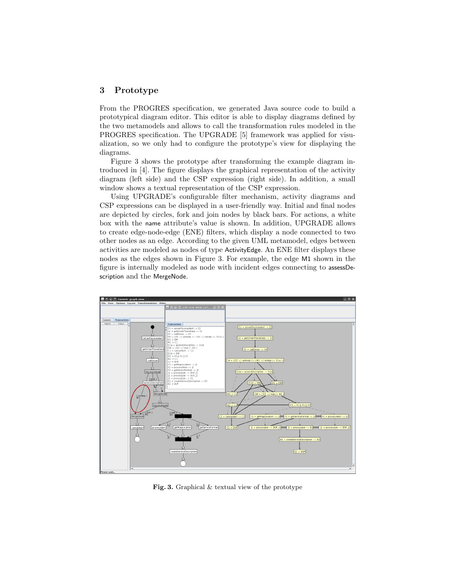#### 3 Prototype

From the PROGRES specification, we generated Java source code to build a prototypical diagram editor. This editor is able to display diagrams defined by the two metamodels and allows to call the transformation rules modeled in the PROGRES specification. The UPGRADE [5] framework was applied for visualization, so we only had to configure the prototype's view for displaying the diagrams.

Figure 3 shows the prototype after transforming the example diagram introduced in [4]. The figure displays the graphical representation of the activity diagram (left side) and the CSP expression (right side). In addition, a small window shows a textual representation of the CSP expression.

Using UPGRADE's configurable filter mechanism, activity diagrams and CSP expressions can be displayed in a user-friendly way. Initial and final nodes are depicted by circles, fork and join nodes by black bars. For actions, a white box with the name attribute's value is shown. In addition, UPGRADE allows to create edge-node-edge (ENE) filters, which display a node connected to two other nodes as an edge. According to the given UML metamodel, edges between activities are modeled as nodes of type ActivityEdge. An ENE filter displays these nodes as the edges shown in Figure 3. For example, the edge M1 shown in the figure is internally modeled as node with incident edges connecting to assessDescription and the MergeNode.



Fig. 3. Graphical & textual view of the prototype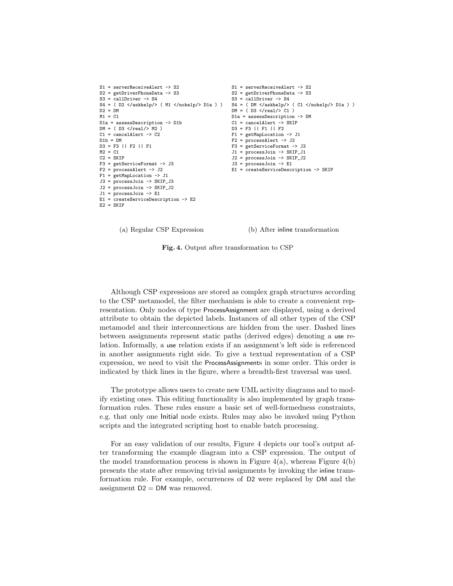```
S1 = serverReceiveAlert -> S2
S2 = getDriverPhoneData -> S3
S3 = callDiriver -> S4S4 = ( D2 </askhelp/> ( M1 </nohelp/> D1a ) )
S4 = ( DM </askhelp/> ( C1 </nohelp/> D1a ) )
D2 = DMM1 = C1D1a = assessDescription -> D1b
DM = ( D3 < /real / > M2 )C1 = cancelAlert -> C2
D1b = DMD3 = F3 || F2 || F1
M2 = C1C2 = SKIPF3 = getServiceFormat -> J3
F2 = processAlert \rightarrow J2
F1 = getMapLocation -> J1
J3 = processJoin -> SKIP_J3
J2 = processJoin -> SKIP_J2
J1 = 1 processJoin \rightarrow E1
E1 = createServiceDescription -> E2
E2 = SKIPS1 = serverReceiveAlert -> S2
                                                  S2 = getDriverPhoneData -> S3
                                                  S3 = callDiriver -> S4DM = ( D3 < /real / > C1 )D1a = assessDescription -> DM
                                                  C1 = cancelAlert -> SKIP
                                                  D3 = F3 || F1 || F2
                                                  F1 = getMapLocation -> J1
                                                  F2 = processAlert -> J2
                                                  F3 = getServiceFormat -> J3
                                                  J1 = processJoin -> SKIP_J1
                                                  J2 = processJoin -> SKIP_J2
                                                  J3 = 1 process Join \rightarrow E1
                                                  E1 = createServiceDescription -> SKIP
```
(a) Regular CSP Expression

(b) After inline transformation

Fig. 4. Output after transformation to CSP

Although CSP expressions are stored as complex graph structures according to the CSP metamodel, the filter mechanism is able to create a convenient representation. Only nodes of type ProcessAssignment are displayed, using a derived attribute to obtain the depicted labels. Instances of all other types of the CSP metamodel and their interconnections are hidden from the user. Dashed lines between assignments represent static paths (derived edges) denoting a use relation. Informally, a use relation exists if an assignment's left side is referenced in another assignments right side. To give a textual representation of a CSP expression, we need to visit the ProcessAssignments in some order. This order is indicated by thick lines in the figure, where a breadth-first traversal was used.

The prototype allows users to create new UML activity diagrams and to modify existing ones. This editing functionality is also implemented by graph transformation rules. These rules ensure a basic set of well-formedness constraints, e.g. that only one Initial node exists. Rules may also be invoked using Python scripts and the integrated scripting host to enable batch processing.

For an easy validation of our results, Figure 4 depicts our tool's output after transforming the example diagram into a CSP expression. The output of the model transformation process is shown in Figure  $4(a)$ , whereas Figure  $4(b)$ presents the state after removing trivial assignments by invoking the inline transformation rule. For example, occurrences of D2 were replaced by DM and the assignment  $D2 = DM$  was removed.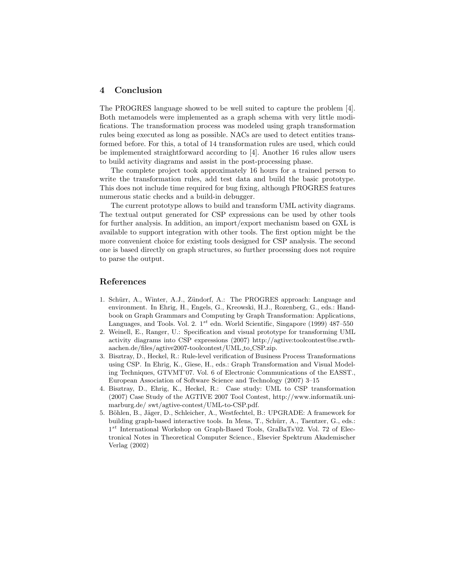### 4 Conclusion

The PROGRES language showed to be well suited to capture the problem [4]. Both metamodels were implemented as a graph schema with very little modifications. The transformation process was modeled using graph transformation rules being executed as long as possible. NACs are used to detect entities transformed before. For this, a total of 14 transformation rules are used, which could be implemented straightforward according to [4]. Another 16 rules allow users to build activity diagrams and assist in the post-processing phase.

The complete project took approximately 16 hours for a trained person to write the transformation rules, add test data and build the basic prototype. This does not include time required for bug fixing, although PROGRES features numerous static checks and a build-in debugger.

The current prototype allows to build and transform UML activity diagrams. The textual output generated for CSP expressions can be used by other tools for further analysis. In addition, an import/export mechanism based on GXL is available to support integration with other tools. The first option might be the more convenient choice for existing tools designed for CSP analysis. The second one is based directly on graph structures, so further processing does not require to parse the output.

#### References

- 1. Schürr, A., Winter, A.J., Zündorf, A.: The PROGRES approach: Language and environment. In Ehrig, H., Engels, G., Kreowski, H.J., Rozenberg, G., eds.: Handbook on Graph Grammars and Computing by Graph Transformation: Applications, Languages, and Tools. Vol. 2.  $1^{st}$  edn. World Scientific, Singapore (1999) 487–550
- 2. Weinell, E., Ranger, U.: Specification and visual prototype for transforming UML activity diagrams into CSP expressions (2007) http://agtive:toolcontest@se.rwthaachen.de/files/agtive2007-toolcontest/UML to CSP.zip.
- 3. Bisztray, D., Heckel, R.: Rule-level verification of Business Process Transformations using CSP. In Ehrig, K., Giese, H., eds.: Graph Transformation and Visual Modeling Techniques, GTVMT'07. Vol. 6 of Electronic Communications of the EASST., European Association of Software Science and Technology (2007) 3–15
- 4. Bisztray, D., Ehrig, K., Heckel, R.: Case study: UML to CSP transformation (2007) Case Study of the AGTIVE 2007 Tool Contest, http://www.informatik.unimarburg.de/ swt/agtive-contest/UML-to-CSP.pdf.
- 5. Böhlen, B., Jäger, D., Schleicher, A., Westfechtel, B.: UPGRADE: A framework for building graph-based interactive tools. In Mens, T., Schürr, A., Taentzer, G., eds.: 1<sup>st</sup> International Workshop on Graph-Based Tools, GraBaTs'02. Vol. 72 of Electronical Notes in Theoretical Computer Science., Elsevier Spektrum Akademischer Verlag (2002)